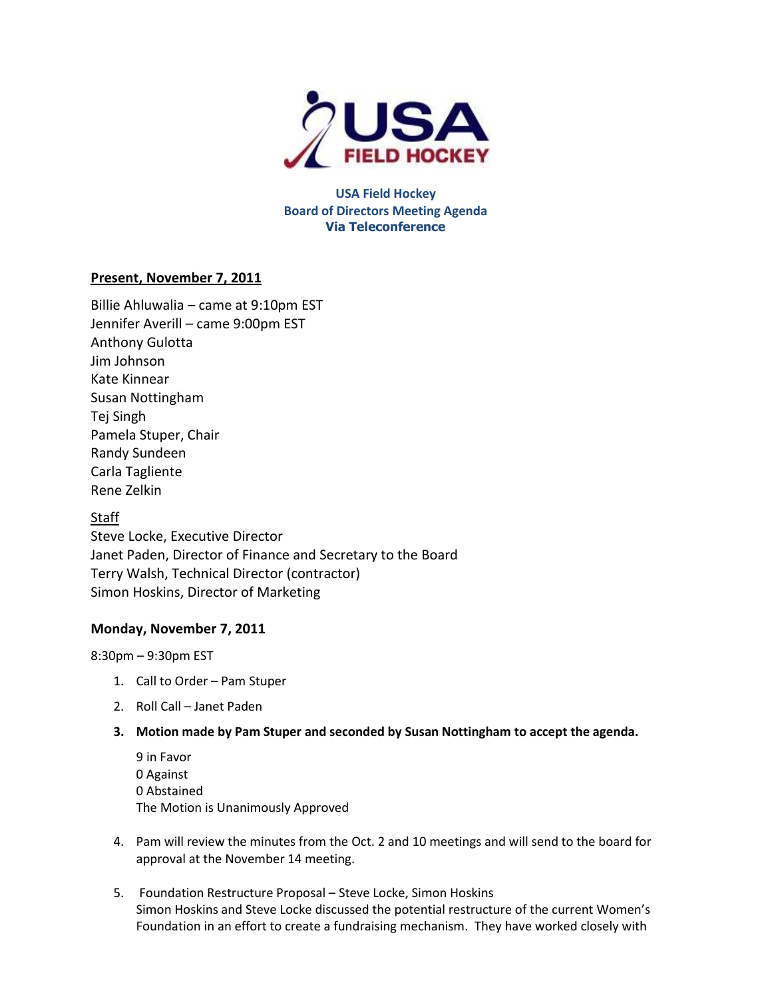

**USA Field Hockey Board of Directors Meeting Agenda Via Teleconference**

## **Present, November 7, 2011**

Billie Ahluwalia – came at 9:10pm EST Jennifer Averill – came 9:00pm EST Anthony Gulotta Jim Johnson Kate Kinnear Susan Nottingham Tej Singh Pamela Stuper, Chair Randy Sundeen Carla Tagliente Rene Zelkin

## Staff

Steve Locke, Executive Director Janet Paden, Director of Finance and Secretary to the Board Terry Walsh, Technical Director (contractor) Simon Hoskins, Director of Marketing

## **Monday, November 7, 2011**

8:30pm – 9:30pm EST

- 1. Call to Order Pam Stuper
- 2. Roll Call Janet Paden
- **3. Motion made by Pam Stuper and seconded by Susan Nottingham to accept the agenda.**

9 in Favor 0 Against 0 Abstained The Motion is Unanimously Approved

- 4. Pam will review the minutes from the Oct. 2 and 10 meetings and will send to the board for approval at the November 14 meeting.
- 5. Foundation Restructure Proposal Steve Locke, Simon Hoskins Simon Hoskins and Steve Locke discussed the potential restructure of the current Women's Foundation in an effort to create a fundraising mechanism. They have worked closely with